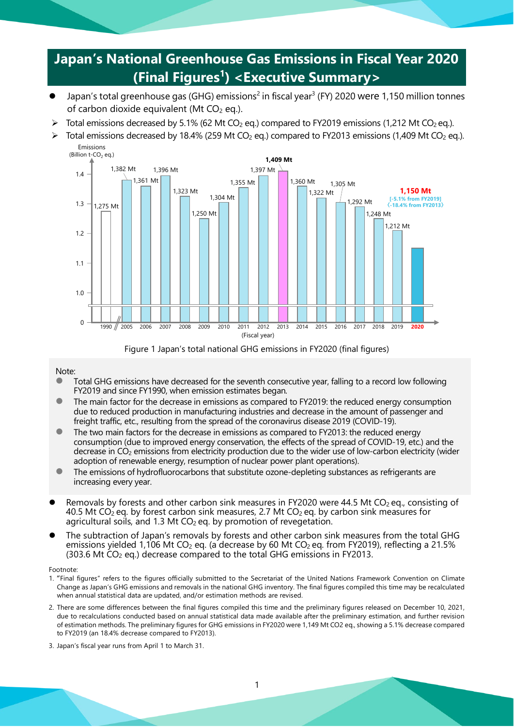# **Japan's National Greenhouse Gas Emissions in Fiscal Year 2020 (Final Figures1 ) <Executive Summary>**

- Japan's total greenhouse gas (GHG) emissions<sup>2</sup> in fiscal year<sup>3</sup> (FY) 2020 were 1,150 million tonnes of carbon dioxide equivalent (Mt  $CO<sub>2</sub>$  eq.).
- $\triangleright$  Total emissions decreased by 5.1% (62 Mt CO<sub>2</sub> eq.) compared to FY2019 emissions (1,212 Mt CO<sub>2</sub> eq.).
- $\triangleright$  Total emissions decreased by 18.4% (259 Mt CO<sub>2</sub> eq.) compared to FY2013 emissions (1,409 Mt CO<sub>2</sub> eq.). Emissions



Figure 1 Japan's total national GHG emissions in FY2020 (final figures)

#### Note:

- Total GHG emissions have decreased for the seventh consecutive year, falling to a record low following FY2019 and since FY1990, when emission estimates began.
- The main factor for the decrease in emissions as compared to FY2019: the reduced energy consumption due to reduced production in manufacturing industries and decrease in the amount of passenger and freight traffic, etc., resulting from the spread of the coronavirus disease 2019 (COVID-19).
- The two main factors for the decrease in emissions as compared to FY2013: the reduced energy consumption (due to improved energy conservation, the effects of the spread of COVID-19, etc.) and the decrease in CO<sub>2</sub> emissions from electricity production due to the wider use of low-carbon electricity (wider adoption of renewable energy, resumption of nuclear power plant operations).
- The emissions of hydrofluorocarbons that substitute ozone-depleting substances as refrigerants are increasing every year.
- Removals by forests and other carbon sink measures in FY2020 were 44.5 Mt CO<sub>2</sub> eq., consisting of 40.5 Mt CO<sub>2</sub> eq. by forest carbon sink measures, 2.7 Mt CO<sub>2</sub> eq. by carbon sink measures for agricultural soils, and 1.3 Mt  $CO<sub>2</sub>$  eq. by promotion of revegetation.
- The subtraction of Japan's removals by forests and other carbon sink measures from the total GHG emissions yielded 1,106 Mt CO<sub>2</sub> eq. (a decrease by 60 Mt CO<sub>2</sub> eq. from FY2019), reflecting a 21.5%  $(303.6$  Mt  $CO<sub>2</sub>$  eq.) decrease compared to the total GHG emissions in FY2013.

#### Footnote:

- 1. "Final figures" refers to the figures officially submitted to the Secretariat of the United Nations Framework Convention on Climate Change as Japan's GHG emissions and removals in the national GHG inventory. The final figures compiled this time may be recalculated when annual statistical data are updated, and/or estimation methods are revised.
- 2. There are some differences between the final figures compiled this time and the preliminary figures released on December 10, 2021, due to recalculations conducted based on annual statistical data made available after the preliminary estimation, and further revision of estimation methods. The preliminary figures for GHG emissions in FY2020 were 1,149 Mt CO2 eq., showing a 5.1% decrease compared to FY2019 (an 18.4% decrease compared to FY2013).
- 3. Japan's fiscal year runs from April 1 to March 31.

#### 1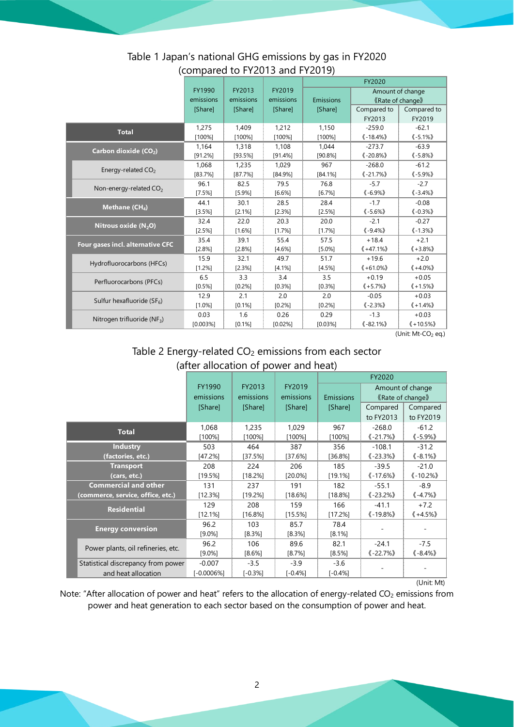|                                      |           |           |            | FY2020     |                           |                                                 |  |  |  |
|--------------------------------------|-----------|-----------|------------|------------|---------------------------|-------------------------------------------------|--|--|--|
|                                      | FY1990    | FY2013    | FY2019     |            | Amount of change          |                                                 |  |  |  |
|                                      | emissions | emissions | emissions  | Emissions  |                           | <b>《Rate of change》</b>                         |  |  |  |
|                                      | [Share]   | [Share]   | [Share]    | [Share]    | Compared to               | Compared to                                     |  |  |  |
|                                      |           |           |            |            | FY2013                    | FY2019                                          |  |  |  |
| <b>Total</b>                         | 1,275     | 1,409     | 1,212      | 1,150      | $-259.0$                  | $-62.1$                                         |  |  |  |
|                                      | [100%]    | $[100\%]$ | $[100\%]$  | [100%]     | $(-18.4\%)$               | $(-5.1\%)$                                      |  |  |  |
| Carbon dioxide (CO <sub>2</sub> )    | 1,164     | 1,318     | 1.108      | 1.044      | $-273.7$                  | $-63.9$                                         |  |  |  |
|                                      | [91.2%]   | [93.5%]   | [91.4%]    | [90.8%]    | $\langle -20.8\% \rangle$ | $(-5.8%$                                        |  |  |  |
| Energy-related CO <sub>2</sub>       | 1,068     | 1.235     | 1.029      | 967        | $-268.0$                  | $-61.2$                                         |  |  |  |
|                                      | [83.7%]   | [87.7%]   | $[84.9\%]$ | $[84.1\%]$ | $\langle -21.7\% \rangle$ | $(-5.9\%)$                                      |  |  |  |
| Non-energy-related CO <sub>2</sub>   | 96.1      | 82.5      | 79.5       | 76.8       | $-5.7$                    | $-2.7$                                          |  |  |  |
|                                      | [7.5%]    | [5.9%]    | [6.6%]     | [6.7%]     | $(-6.9\%)$                | $\langle -3.4\% \rangle$                        |  |  |  |
| Methane (CH <sub>4</sub> )           | 44.1      | 30.1      | 28.5       | 28.4       | $-1.7$                    | $-0.08$                                         |  |  |  |
|                                      | [3.5%]    | [2.1%]    | [2.3%]     | [2.5%]     | $\langle -5.6\% \rangle$  | $\langle -0.3\% \rangle$                        |  |  |  |
| Nitrous oxide $(N_2O)$               | 32.4      | 22.0      | 20.3       | 20.0       | $-2.1$                    | $-0.27$                                         |  |  |  |
|                                      | [2.5%]    | $[1.6\%]$ | [1.7%]     | [1.7%]     | $\langle -9.4\% \rangle$  | $(-1.3%)$                                       |  |  |  |
| Four gases incl. alternative CFC     | 35.4      | 39.1      | 55.4       | 57.5       | $+18.4$                   | $+2.1$                                          |  |  |  |
|                                      | [2.8%]    | [2.8%]    | [4.6%]     | [5.0%]     | $\langle +47.1\% \rangle$ | $\langle +3.8\% \rangle$                        |  |  |  |
| Hydrofluorocarbons (HFCs)            | 15.9      | 32.1      | 49.7       | 51.7       | $+19.6$                   | $+2.0$                                          |  |  |  |
|                                      | [1.2%]    | [2.3%]    | [4.1%]     | [4.5%]     | $(*61.0\%)$               | $(*4.0\%)$                                      |  |  |  |
| Perfluorocarbons (PFCs)              | 6.5       | 3.3       | 3.4        | 3.5        | $+0.19$                   | $+0.05$                                         |  |  |  |
|                                      | [0.5%]    | [0.2%]    | [0.3%]     | [0.3%]     | $(*5.7\%)$                | $\langle +1.5\% \rangle$                        |  |  |  |
| Sulfur hexafluoride ( $SF_6$ )       | 12.9      | 2.1       | 2.0        | 2.0        | $-0.05$                   | $+0.03$                                         |  |  |  |
|                                      | $[1.0\%]$ | [0.1%]    | [0.2%]     | [0.2%]     | $(-2.3%)$                 | $\langle +1.4\% \rangle$                        |  |  |  |
| Nitrogen trifluoride (NF3)           | 0.03      | 1.6       | 0.26       | 0.29       | $-1.3$                    | $+0.03$                                         |  |  |  |
|                                      | [0.003%]  | [0.1%]    | [0.02%]    | [0.03%]    | $\langle -82.1\% \rangle$ | $\langle \! \langle 110.5\% \rangle \! \rangle$ |  |  |  |
| $(1 \text{ln}(1.14) \text{cm}^{-1})$ |           |           |            |            |                           |                                                 |  |  |  |

### Table 1 Japan's national GHG emissions by gas in FY2020 (compared to FY2013 and FY2019)

(Unit:  $Mt$ - $CO<sub>2</sub>$  eq.)

## Table 2 Energy-related CO<sub>2</sub> emissions from each sector (after allocation of power and heat)

|                                    |                     |                     |                     | FY2020     |                                           |                           |  |
|------------------------------------|---------------------|---------------------|---------------------|------------|-------------------------------------------|---------------------------|--|
|                                    | FY1990<br>emissions | FY2013<br>emissions | FY2019<br>emissions | Emissions  | Amount of change<br><b>Kate of change</b> |                           |  |
|                                    | [Share]             | [Share]             | [Share]             | [Share]    | Compared                                  | Compared                  |  |
|                                    |                     |                     |                     |            | to FY2013                                 | to FY2019                 |  |
| <b>Total</b>                       | 1,068               | 1,235               | 1,029               | 967        | $-268.0$                                  | $-61.2$                   |  |
|                                    | $[100\%]$           | $[100\%]$           | $[100\%]$           | [100%]     | $\langle -21.7\% \rangle$                 | $\langle -5.9\% \rangle$  |  |
| <b>Industry</b>                    | 503                 | 464                 | 387                 | 356        | $-108.1$                                  | $-31.2$                   |  |
| (factories, etc.)                  | [47.2%]             | [37.5%]             | [37.6%]             | [36.8%]    | $\langle -23.3\% \rangle$                 | $\langle -8.1\% \rangle$  |  |
| <b>Transport</b>                   | 208                 | 224                 | 206                 | 185        | $-39.5$                                   | $-21.0$                   |  |
| (cars, etc.)                       | [19.5%]             | [18.2%]             | $[20.0\%]$          | [19.1%]    | $\langle -17.6\% \rangle$                 | $\langle -10.2\% \rangle$ |  |
| <b>Commercial and other</b>        | 131                 | 237                 | 191                 | 182        | $-55.1$                                   | $-8.9$                    |  |
| (commerce, service, office, etc.)  | [12.3%]             | [19.2%]             | $[18.6\%]$          | $[18.8\%]$ | $\langle -23.2\% \rangle$                 | $\langle -4.7\% \rangle$  |  |
| <b>Residential</b>                 | 129                 | 208                 | 159                 | 166        | $-41.1$                                   | $+7.2$                    |  |
|                                    | [12.1%]             | $[16.8\%]$          | [15.5%]             | [17.2%]    | $\langle -19.8\% \rangle$                 | $\langle +4.5\% \rangle$  |  |
| <b>Energy conversion</b>           | 96.2                | 103                 | 85.7                | 78.4       |                                           |                           |  |
|                                    | $[9.0\%]$           | $[8.3\%]$           | [8.3%]              | $[8.1\%]$  |                                           |                           |  |
| Power plants, oil refineries, etc. | 96.2                | 106                 | 89.6                | 82.1       | $-24.1$                                   | $-7.5$                    |  |
|                                    | $[9.0\%]$           | $[8.6\%]$           | [8.7%]              | [8.5%]     | $\langle -22.7\% \rangle$                 | $\langle -8.4\% \rangle$  |  |
| Statistical discrepancy from power | $-0.007$            | $-3.5$              | $-3.9$              | $-3.6$     |                                           |                           |  |
| and heat allocation                | $[-0.0006%]$        | $[-0.3%]$           | $[-0.4%]$           | $[-0.4%]$  |                                           |                           |  |

(Unit: Mt)

Note: "After allocation of power and heat" refers to the allocation of energy-related CO<sub>2</sub> emissions from power and heat generation to each sector based on the consumption of power and heat.